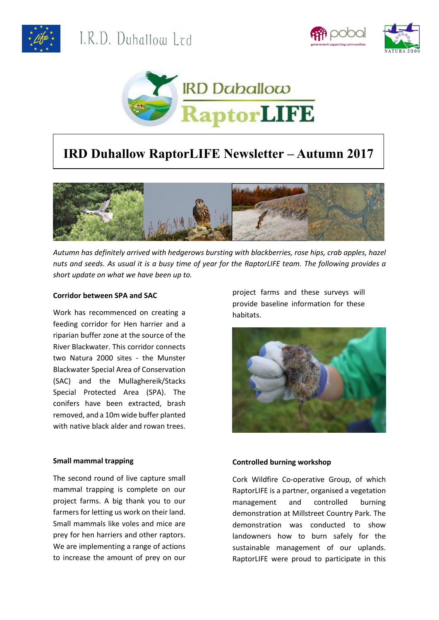





# **IRD Duhallow RaptorLIFE Newsletter – Autumn 2017**



*Autumn has definitely arrived with hedgerows bursting with blackberries, rose hips, crab apples, hazel nuts and seeds. As usual it is a busy time of year for the RaptorLIFE team. The following provides a short update on what we have been up to.*

#### **Corridor between SPA and SAC**

Work has recommenced on creating a feeding corridor for Hen harrier and a riparian buffer zone at the source of the River Blackwater. This corridor connects two Natura 2000 sites - the Munster Blackwater Special Area of Conservation (SAC) and the Mullaghereik/Stacks Special Protected Area (SPA). The conifers have been extracted, brash removed, and a 10m wide buffer planted with native black alder and rowan trees.

### **Small mammal trapping**

The second round of live capture small mammal trapping is complete on our project farms. A big thank you to our farmers for letting us work on their land. Small mammals like voles and mice are prey for hen harriers and other raptors. We are implementing a range of actions to increase the amount of prey on our

project farms and these surveys will provide baseline information for these habitats.



## **Controlled burning workshop**

Cork Wildfire Co-operative Group, of which RaptorLIFE is a partner, organised a vegetation management and controlled burning demonstration at Millstreet Country Park. The demonstration was conducted to show landowners how to burn safely for the sustainable management of our uplands. RaptorLIFE were proud to participate in this